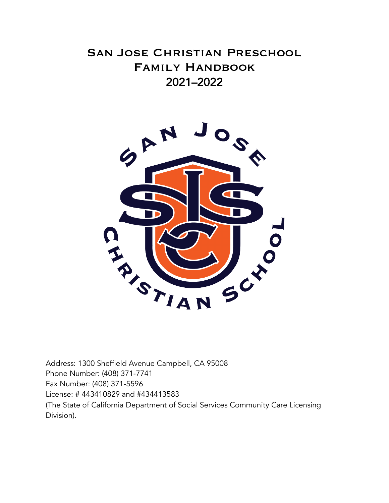# San Jose Christian Preschool Family Handbook 2021–2022



Address: 1300 Sheffield Avenue Campbell, CA 95008 Phone Number: (408) 371-7741 Fax Number: (408) 371-5596 License: # 443410829 and #434413583 (The State of California Department of Social Services Community Care Licensing Division).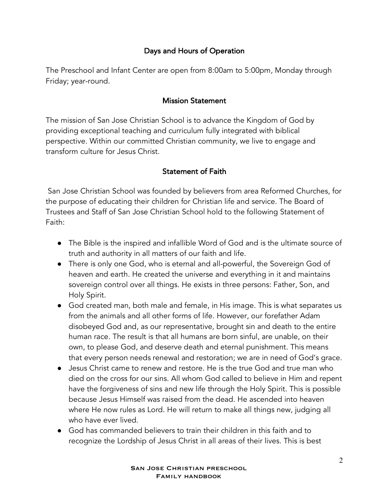## Days and Hours of Operation

The Preschool and Infant Center are open from 8:00am to 5:00pm, Monday through Friday; year-round.

#### Mission Statement

The mission of San Jose Christian School is to advance the Kingdom of God by providing exceptional teaching and curriculum fully integrated with biblical perspective. Within our committed Christian community, we live to engage and transform culture for Jesus Christ.

#### Statement of Faith

San Jose Christian School was founded by believers from area Reformed Churches, for the purpose of educating their children for Christian life and service. The Board of Trustees and Staff of San Jose Christian School hold to the following Statement of Faith:

- The Bible is the inspired and infallible Word of God and is the ultimate source of truth and authority in all matters of our faith and life.
- There is only one God, who is eternal and all-powerful, the Sovereign God of heaven and earth. He created the universe and everything in it and maintains sovereign control over all things. He exists in three persons: Father, Son, and Holy Spirit.
- God created man, both male and female, in His image. This is what separates us from the animals and all other forms of life. However, our forefather Adam disobeyed God and, as our representative, brought sin and death to the entire human race. The result is that all humans are born sinful, are unable, on their own, to please God, and deserve death and eternal punishment. This means that every person needs renewal and restoration; we are in need of God's grace.
- Jesus Christ came to renew and restore. He is the true God and true man who died on the cross for our sins. All whom God called to believe in Him and repent have the forgiveness of sins and new life through the Holy Spirit. This is possible because Jesus Himself was raised from the dead. He ascended into heaven where He now rules as Lord. He will return to make all things new, judging all who have ever lived.
- God has commanded believers to train their children in this faith and to recognize the Lordship of Jesus Christ in all areas of their lives. This is best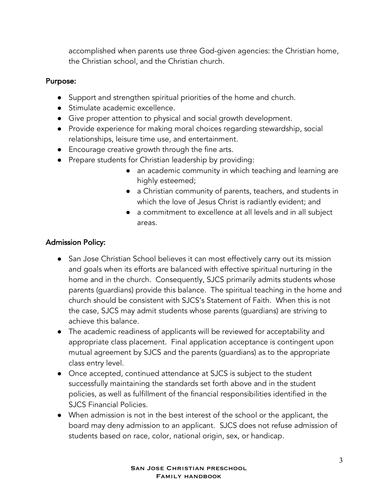accomplished when parents use three God-given agencies: the Christian home, the Christian school, and the Christian church.

## Purpose:

- Support and strengthen spiritual priorities of the home and church.
- Stimulate academic excellence.
- Give proper attention to physical and social growth development.
- Provide experience for making moral choices regarding stewardship, social relationships, leisure time use, and entertainment.
- Encourage creative growth through the fine arts.
- Prepare students for Christian leadership by providing:
	- an academic community in which teaching and learning are highly esteemed;
	- a Christian community of parents, teachers, and students in which the love of Jesus Christ is radiantly evident; and
	- a commitment to excellence at all levels and in all subject areas.

# Admission Policy:

- San Jose Christian School believes it can most effectively carry out its mission and goals when its efforts are balanced with effective spiritual nurturing in the home and in the church. Consequently, SJCS primarily admits students whose parents (guardians) provide this balance. The spiritual teaching in the home and church should be consistent with SJCS's Statement of Faith. When this is not the case, SJCS may admit students whose parents (guardians) are striving to achieve this balance.
- The academic readiness of applicants will be reviewed for acceptability and appropriate class placement. Final application acceptance is contingent upon mutual agreement by SJCS and the parents (guardians) as to the appropriate class entry level.
- Once accepted, continued attendance at SJCS is subject to the student successfully maintaining the standards set forth above and in the student policies, as well as fulfillment of the financial responsibilities identified in the SJCS Financial Policies.
- When admission is not in the best interest of the school or the applicant, the board may deny admission to an applicant. SJCS does not refuse admission of students based on race, color, national origin, sex, or handicap.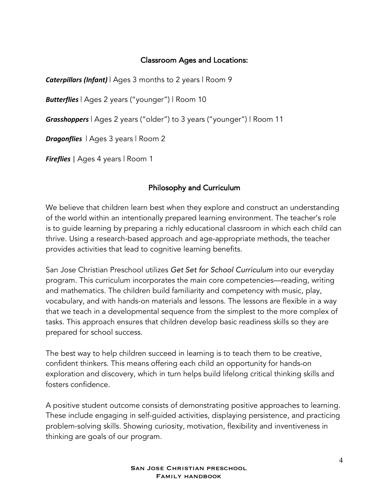## Classroom Ages and Locations:

*Caterpillars (Infant)* | Ages 3 months to 2 years | Room 9

*Butterflies* | Ages 2 years ("younger") | Room 10

*Grasshoppers* | Ages 2 years ("older") to 3 years ("younger") | Room 11

*Dragonflies* | Ages 3 years | Room 2

*Fireflies* | Ages 4 years | Room 1

## Philosophy and Curriculum

We believe that children learn best when they explore and construct an understanding of the world within an intentionally prepared learning environment. The teacher's role is to guide learning by preparing a richly educational classroom in which each child can thrive. Using a research-based approach and age-appropriate methods, the teacher provides activities that lead to cognitive learning benefits.

San Jose Christian Preschool utilizes *Get Set for School Curriculum* into our everyday program. This curriculum incorporates the main core competencies—reading, writing and mathematics. The children build familiarity and competency with music, play, vocabulary, and with hands-on materials and lessons. The lessons are flexible in a way that we teach in a developmental sequence from the simplest to the more complex of tasks. This approach ensures that children develop basic readiness skills so they are prepared for school success.

The best way to help children succeed in learning is to teach them to be creative, confident thinkers. This means offering each child an opportunity for hands-on exploration and discovery, which in turn helps build lifelong critical thinking skills and fosters confidence.

A positive student outcome consists of demonstrating positive approaches to learning. These include engaging in self-guided activities, displaying persistence, and practicing problem-solving skills. Showing curiosity, motivation, flexibility and inventiveness in thinking are goals of our program.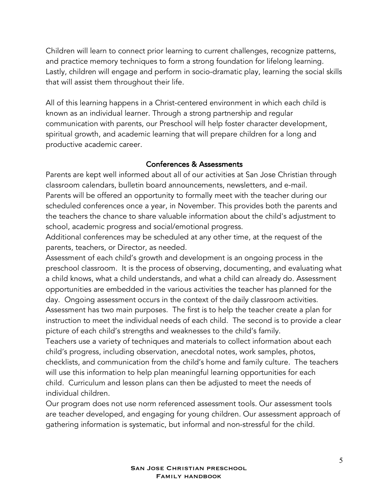Children will learn to connect prior learning to current challenges, recognize patterns, and practice memory techniques to form a strong foundation for lifelong learning. Lastly, children will engage and perform in socio-dramatic play, learning the social skills that will assist them throughout their life.

All of this learning happens in a Christ-centered environment in which each child is known as an individual learner. Through a strong partnership and regular communication with parents, our Preschool will help foster character development, spiritual growth, and academic learning that will prepare children for a long and productive academic career.

## Conferences & Assessments

Parents are kept well informed about all of our activities at San Jose Christian through classroom calendars, bulletin board announcements, newsletters, and e-mail. Parents will be offered an opportunity to formally meet with the teacher during our scheduled conferences once a year, in November. This provides both the parents and the teachers the chance to share valuable information about the child's adjustment to school, academic progress and social/emotional progress.

Additional conferences may be scheduled at any other time, at the request of the parents, teachers, or Director, as needed.

Assessment of each child's growth and development is an ongoing process in the preschool classroom. It is the process of observing, documenting, and evaluating what a child knows, what a child understands, and what a child can already do. Assessment opportunities are embedded in the various activities the teacher has planned for the day. Ongoing assessment occurs in the context of the daily classroom activities. Assessment has two main purposes. The first is to help the teacher create a plan for instruction to meet the individual needs of each child. The second is to provide a clear picture of each child's strengths and weaknesses to the child's family.

Teachers use a variety of techniques and materials to collect information about each child's progress, including observation, anecdotal notes, work samples, photos, checklists, and communication from the child's home and family culture. The teachers will use this information to help plan meaningful learning opportunities for each child. Curriculum and lesson plans can then be adjusted to meet the needs of individual children.

Our program does not use norm referenced assessment tools. Our assessment tools are teacher developed, and engaging for young children. Our assessment approach of gathering information is systematic, but informal and non-stressful for the child.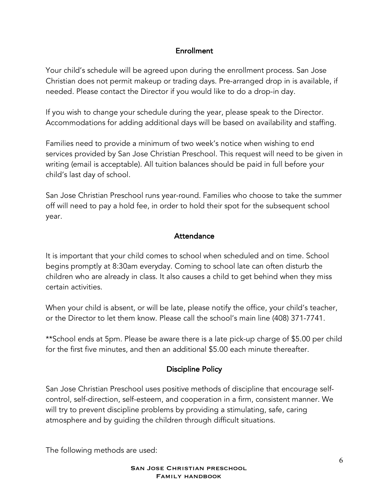#### Enrollment

Your child's schedule will be agreed upon during the enrollment process. San Jose Christian does not permit makeup or trading days. Pre-arranged drop in is available, if needed. Please contact the Director if you would like to do a drop-in day.

If you wish to change your schedule during the year, please speak to the Director. Accommodations for adding additional days will be based on availability and staffing.

Families need to provide a minimum of two week's notice when wishing to end services provided by San Jose Christian Preschool. This request will need to be given in writing (email is acceptable). All tuition balances should be paid in full before your child's last day of school.

San Jose Christian Preschool runs year-round. Families who choose to take the summer off will need to pay a hold fee, in order to hold their spot for the subsequent school year.

## **Attendance**

It is important that your child comes to school when scheduled and on time. School begins promptly at 8:30am everyday. Coming to school late can often disturb the children who are already in class. It also causes a child to get behind when they miss certain activities.

When your child is absent, or will be late, please notify the office, your child's teacher, or the Director to let them know. Please call the school's main line (408) 371-7741.

\*\*School ends at 5pm. Please be aware there is a late pick-up charge of \$5.00 per child for the first five minutes, and then an additional \$5.00 each minute thereafter.

## Discipline Policy

San Jose Christian Preschool uses positive methods of discipline that encourage selfcontrol, self-direction, self-esteem, and cooperation in a firm, consistent manner. We will try to prevent discipline problems by providing a stimulating, safe, caring atmosphere and by guiding the children through difficult situations.

The following methods are used: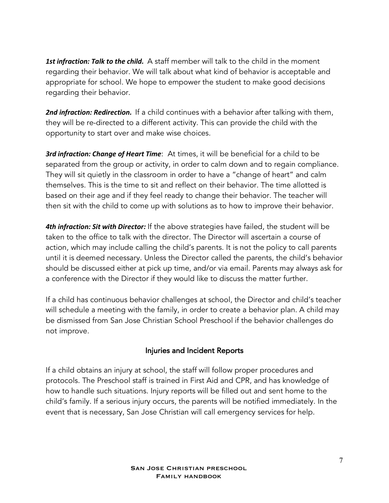*1st infraction: Talk to the child.* A staff member will talk to the child in the moment regarding their behavior. We will talk about what kind of behavior is acceptable and appropriate for school. We hope to empower the student to make good decisions regarding their behavior.

**2nd infraction: Redirection.** If a child continues with a behavior after talking with them, they will be re-directed to a different activity. This can provide the child with the opportunity to start over and make wise choices.

*3rd infraction: Change of Heart Time*: At times, it will be beneficial for a child to be separated from the group or activity, in order to calm down and to regain compliance. They will sit quietly in the classroom in order to have a "change of heart" and calm themselves. This is the time to sit and reflect on their behavior. The time allotted is based on their age and if they feel ready to change their behavior. The teacher will then sit with the child to come up with solutions as to how to improve their behavior.

*4th infraction: Sit with Director:* If the above strategies have failed, the student will be taken to the office to talk with the director. The Director will ascertain a course of action, which may include calling the child's parents. It is not the policy to call parents until it is deemed necessary. Unless the Director called the parents, the child's behavior should be discussed either at pick up time, and/or via email. Parents may always ask for a conference with the Director if they would like to discuss the matter further.

If a child has continuous behavior challenges at school, the Director and child's teacher will schedule a meeting with the family, in order to create a behavior plan. A child may be dismissed from San Jose Christian School Preschool if the behavior challenges do not improve.

#### Injuries and Incident Reports

If a child obtains an injury at school, the staff will follow proper procedures and protocols. The Preschool staff is trained in First Aid and CPR, and has knowledge of how to handle such situations. Injury reports will be filled out and sent home to the child's family. If a serious injury occurs, the parents will be notified immediately. In the event that is necessary, San Jose Christian will call emergency services for help.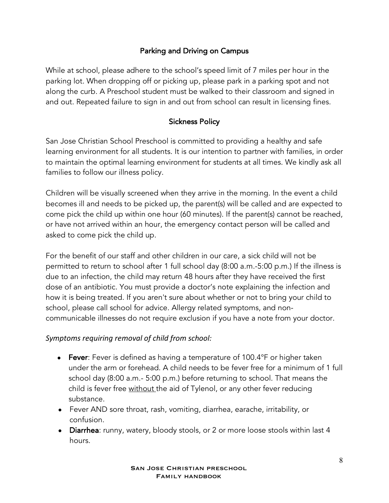## Parking and Driving on Campus

While at school, please adhere to the school's speed limit of 7 miles per hour in the parking lot. When dropping off or picking up, please park in a parking spot and not along the curb. A Preschool student must be walked to their classroom and signed in and out. Repeated failure to sign in and out from school can result in licensing fines.

## Sickness Policy

San Jose Christian School Preschool is committed to providing a healthy and safe learning environment for all students. It is our intention to partner with families, in order to maintain the optimal learning environment for students at all times. We kindly ask all families to follow our illness policy.

Children will be visually screened when they arrive in the morning. In the event a child becomes ill and needs to be picked up, the parent(s) will be called and are expected to come pick the child up within one hour (60 minutes). If the parent(s) cannot be reached, or have not arrived within an hour, the emergency contact person will be called and asked to come pick the child up.

For the benefit of our staff and other children in our care, a sick child will not be permitted to return to school after 1 full school day (8:00 a.m.-5:00 p.m.) If the illness is due to an infection, the child may return 48 hours after they have received the first dose of an antibiotic. You must provide a doctor's note explaining the infection and how it is being treated. If you aren't sure about whether or not to bring your child to school, please call school for advice. Allergy related symptoms, and noncommunicable illnesses do not require exclusion if you have a note from your doctor.

## *Symptoms requiring removal of child from school:*

- Fever: Fever is defined as having a temperature of 100.4°F or higher taken under the arm or forehead. A child needs to be fever free for a minimum of 1 full school day (8:00 a.m.- 5:00 p.m.) before returning to school. That means the child is fever free without the aid of Tylenol, or any other fever reducing substance.
- Fever AND sore throat, rash, vomiting, diarrhea, earache, irritability, or confusion.
- Diarrhea: runny, watery, bloody stools, or 2 or more loose stools within last 4 hours.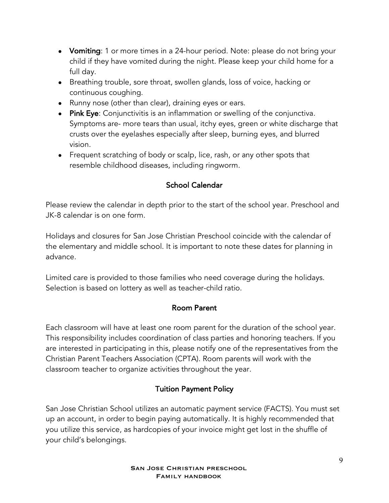- Vomiting: 1 or more times in a 24-hour period. Note: please do not bring your child if they have vomited during the night. Please keep your child home for a full day.
- Breathing trouble, sore throat, swollen glands, loss of voice, hacking or continuous coughing.
- Runny nose (other than clear), draining eyes or ears.
- Pink Eye: Conjunctivitis is an inflammation or swelling of the conjunctiva. Symptoms are- more tears than usual, itchy eyes, green or white discharge that crusts over the eyelashes especially after sleep, burning eyes, and blurred vision.
- Frequent scratching of body or scalp, lice, rash, or any other spots that resemble childhood diseases, including ringworm.

## School Calendar

Please review the calendar in depth prior to the start of the school year. Preschool and JK-8 calendar is on one form.

Holidays and closures for San Jose Christian Preschool coincide with the calendar of the elementary and middle school. It is important to note these dates for planning in advance.

Limited care is provided to those families who need coverage during the holidays. Selection is based on lottery as well as teacher-child ratio.

## Room Parent

Each classroom will have at least one room parent for the duration of the school year. This responsibility includes coordination of class parties and honoring teachers. If you are interested in participating in this, please notify one of the representatives from the Christian Parent Teachers Association (CPTA). Room parents will work with the classroom teacher to organize activities throughout the year.

## Tuition Payment Policy

San Jose Christian School utilizes an automatic payment service (FACTS). You must set up an account, in order to begin paying automatically. It is highly recommended that you utilize this service, as hardcopies of your invoice might get lost in the shuffle of your child's belongings.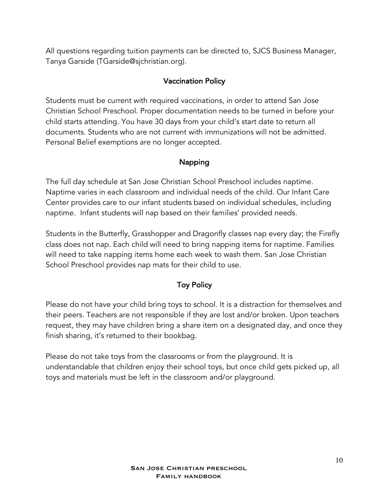All questions regarding tuition payments can be directed to, SJCS Business Manager, Tanya Garside (TGarside@sjchristian.org).

## Vaccination Policy

Students must be current with required vaccinations, in order to attend San Jose Christian School Preschool. Proper documentation needs to be turned in before your child starts attending. You have 30 days from your child's start date to return all documents. Students who are not current with immunizations will not be admitted. Personal Belief exemptions are no longer accepted.

## Napping

The full day schedule at San Jose Christian School Preschool includes naptime. Naptime varies in each classroom and individual needs of the child. Our Infant Care Center provides care to our infant students based on individual schedules, including naptime. Infant students will nap based on their families' provided needs.

Students in the Butterfly, Grasshopper and Dragonfly classes nap every day; the Firefly class does not nap. Each child will need to bring napping items for naptime. Families will need to take napping items home each week to wash them. San Jose Christian School Preschool provides nap mats for their child to use.

# Toy Policy

Please do not have your child bring toys to school. It is a distraction for themselves and their peers. Teachers are not responsible if they are lost and/or broken. Upon teachers request, they may have children bring a share item on a designated day, and once they finish sharing, it's returned to their bookbag.

Please do not take toys from the classrooms or from the playground. It is understandable that children enjoy their school toys, but once child gets picked up, all toys and materials must be left in the classroom and/or playground.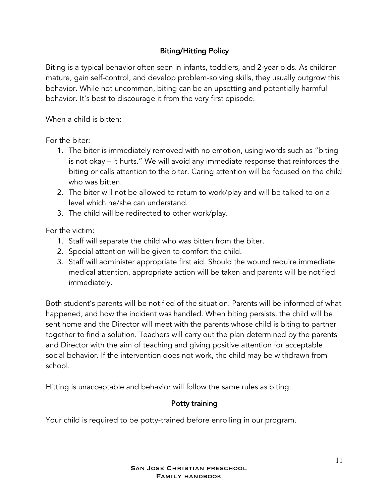# Biting/Hitting Policy

Biting is a typical behavior often seen in infants, toddlers, and 2-year olds. As children mature, gain self-control, and develop problem-solving skills, they usually outgrow this behavior. While not uncommon, biting can be an upsetting and potentially harmful behavior. It's best to discourage it from the very first episode.

When a child is bitten:

For the biter:

- 1. The biter is immediately removed with no emotion, using words such as "biting is not okay – it hurts." We will avoid any immediate response that reinforces the biting or calls attention to the biter. Caring attention will be focused on the child who was bitten.
- 2. The biter will not be allowed to return to work/play and will be talked to on a level which he/she can understand.
- 3. The child will be redirected to other work/play.

For the victim:

- 1. Staff will separate the child who was bitten from the biter.
- 2. Special attention will be given to comfort the child.
- 3. Staff will administer appropriate first aid. Should the wound require immediate medical attention, appropriate action will be taken and parents will be notified immediately.

Both student's parents will be notified of the situation. Parents will be informed of what happened, and how the incident was handled. When biting persists, the child will be sent home and the Director will meet with the parents whose child is biting to partner together to find a solution. Teachers will carry out the plan determined by the parents and Director with the aim of teaching and giving positive attention for acceptable social behavior. If the intervention does not work, the child may be withdrawn from school.

Hitting is unacceptable and behavior will follow the same rules as biting.

## Potty training

Your child is required to be potty-trained before enrolling in our program.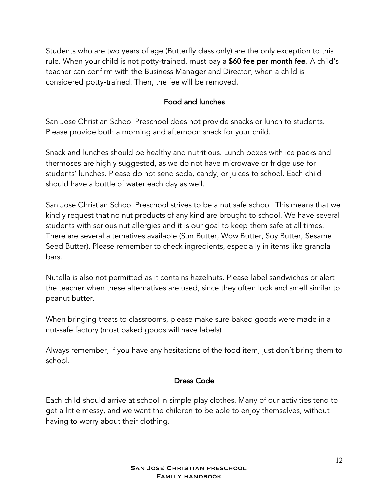Students who are two years of age (Butterfly class only) are the only exception to this rule. When your child is not potty-trained, must pay a \$60 fee per month fee. A child's teacher can confirm with the Business Manager and Director, when a child is considered potty-trained. Then, the fee will be removed.

## Food and lunches

San Jose Christian School Preschool does not provide snacks or lunch to students. Please provide both a morning and afternoon snack for your child.

Snack and lunches should be healthy and nutritious. Lunch boxes with ice packs and thermoses are highly suggested, as we do not have microwave or fridge use for students' lunches. Please do not send soda, candy, or juices to school. Each child should have a bottle of water each day as well.

San Jose Christian School Preschool strives to be a nut safe school. This means that we kindly request that no nut products of any kind are brought to school. We have several students with serious nut allergies and it is our goal to keep them safe at all times. There are several alternatives available (Sun Butter, Wow Butter, Soy Butter, Sesame Seed Butter). Please remember to check ingredients, especially in items like granola bars.

Nutella is also not permitted as it contains hazelnuts. Please label sandwiches or alert the teacher when these alternatives are used, since they often look and smell similar to peanut butter.

When bringing treats to classrooms, please make sure baked goods were made in a nut-safe factory (most baked goods will have labels)

Always remember, if you have any hesitations of the food item, just don't bring them to school.

## Dress Code

Each child should arrive at school in simple play clothes. Many of our activities tend to get a little messy, and we want the children to be able to enjoy themselves, without having to worry about their clothing.